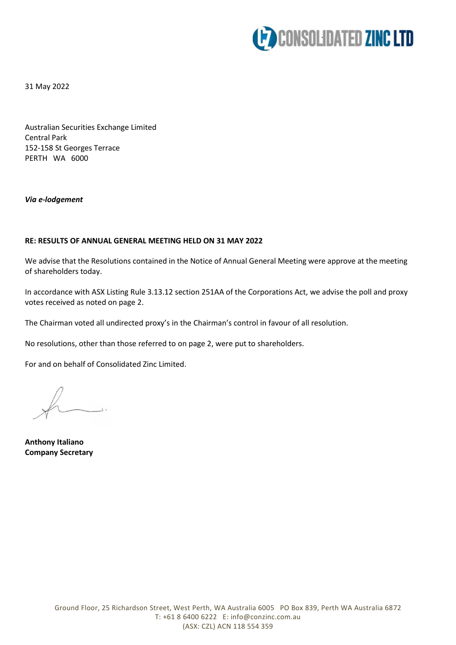

31 May 2022

Australian Securities Exchange Limited Central Park 152-158 St Georges Terrace PERTH WA 6000

*Via e-lodgement*

## **RE: RESULTS OF ANNUAL GENERAL MEETING HELD ON 31 MAY 2022**

We advise that the Resolutions contained in the Notice of Annual General Meeting were approve at the meeting of shareholders today.

In accordance with ASX Listing Rule 3.13.12 section 251AA of the Corporations Act, we advise the poll and proxy votes received as noted on page 2.

The Chairman voted all undirected proxy's in the Chairman's control in favour of all resolution.

No resolutions, other than those referred to on page 2, were put to shareholders.

For and on behalf of Consolidated Zinc Limited.

**Anthony Italiano Company Secretary**